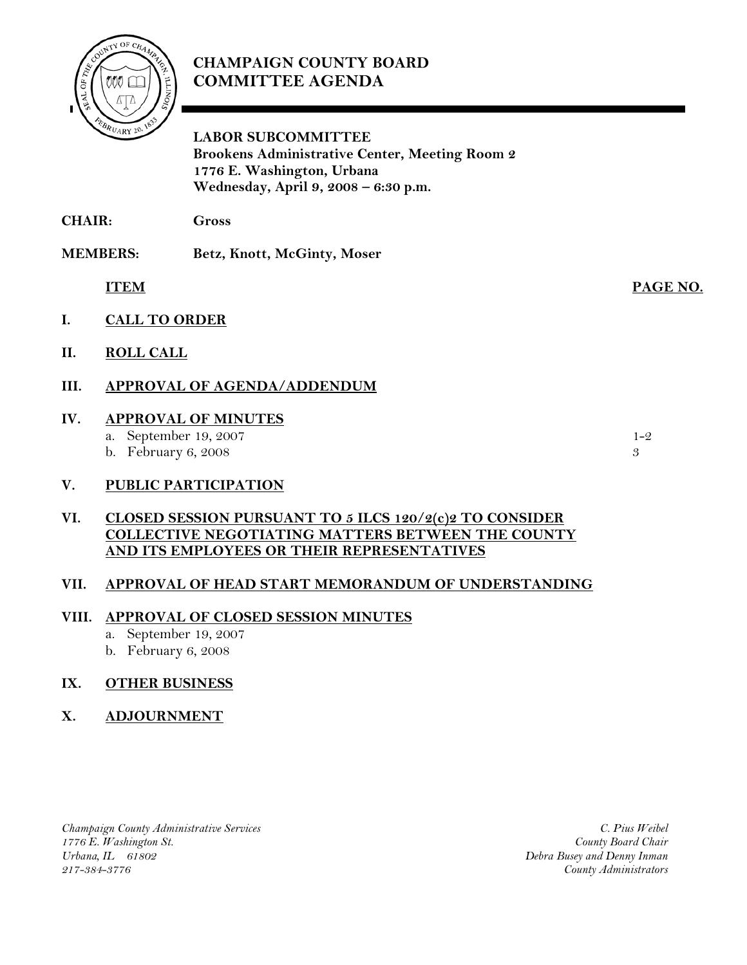

# **CHAMPAIGN COUNTY BOARD COMMITTEE AGENDA**

**LABOR SUBCOMMITTEE Brookens Administrative Center, Meeting Room 2 1776 E. Washington, Urbana Wednesday, April 9, 2008 – 6:30 p.m.**

**CHAIR: Gross** 

**MEMBERS: Betz, Knott, McGinty, Moser** 

 **ITEM PAGE NO.**

- **I. CALL TO ORDER**
- **II. ROLL CALL**
- **III. APPROVAL OF AGENDA/ADDENDUM**

# **IV. APPROVAL OF MINUTES**

a. September 19, 2007 1-2 b. February 6, 2008  $\overline{3}$ 

# **V. PUBLIC PARTICIPATION**

# **VI. CLOSED SESSION PURSUANT TO 5 ILCS 120/2(c)2 TO CONSIDER COLLECTIVE NEGOTIATING MATTERS BETWEEN THE COUNTY AND ITS EMPLOYEES OR THEIR REPRESENTATIVES**

# **VII. APPROVAL OF HEAD START MEMORANDUM OF UNDERSTANDING**

# **VIII. APPROVAL OF CLOSED SESSION MINUTES**

- a. September 19, 2007
- b. February 6, 2008

# **IX. OTHER BUSINESS**

# **X. ADJOURNMENT**

*Champaign County Administrative Services 1776 E. Washington St. Urbana, IL 61802 217-384-3776*

*C. Pius Weibel County Board Chair Debra Busey and Denny Inman County Administrators*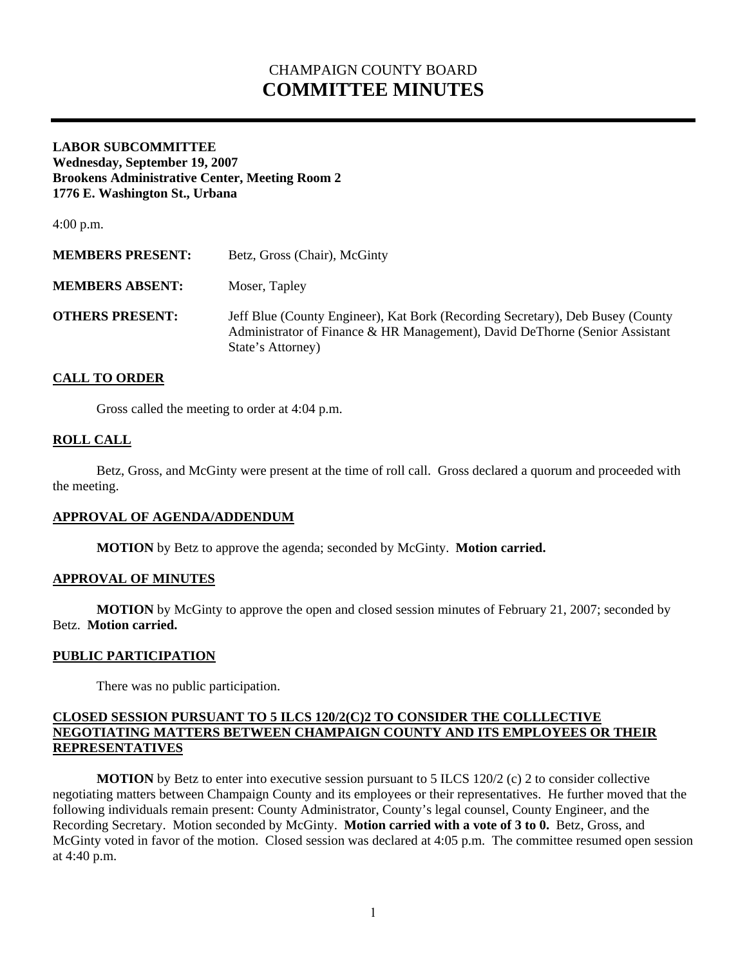# CHAMPAIGN COUNTY BOARD **COMMITTEE MINUTES**

## **LABOR SUBCOMMITTEE Wednesday, September 19, 2007 Brookens Administrative Center, Meeting Room 2 1776 E. Washington St., Urbana**

4:00 p.m.

| <b>MEMBERS PRESENT:</b> | Betz, Gross (Chair), McGinty                                                                                                                                                       |
|-------------------------|------------------------------------------------------------------------------------------------------------------------------------------------------------------------------------|
| <b>MEMBERS ABSENT:</b>  | Moser, Tapley                                                                                                                                                                      |
| <b>OTHERS PRESENT:</b>  | Jeff Blue (County Engineer), Kat Bork (Recording Secretary), Deb Busey (County<br>Administrator of Finance & HR Management), David DeThorne (Senior Assistant<br>State's Attorney) |

## **CALL TO ORDER**

Gross called the meeting to order at 4:04 p.m.

## **ROLL CALL**

 Betz, Gross, and McGinty were present at the time of roll call. Gross declared a quorum and proceeded with the meeting.

## **APPROVAL OF AGENDA/ADDENDUM**

 **MOTION** by Betz to approve the agenda; seconded by McGinty. **Motion carried.** 

### **APPROVAL OF MINUTES**

**MOTION** by McGinty to approve the open and closed session minutes of February 21, 2007; seconded by Betz. **Motion carried.**

### **PUBLIC PARTICIPATION**

There was no public participation.

## **CLOSED SESSION PURSUANT TO 5 ILCS 120/2(C)2 TO CONSIDER THE COLLLECTIVE NEGOTIATING MATTERS BETWEEN CHAMPAIGN COUNTY AND ITS EMPLOYEES OR THEIR REPRESENTATIVES**

**MOTION** by Betz to enter into executive session pursuant to 5 ILCS 120/2 (c) 2 to consider collective negotiating matters between Champaign County and its employees or their representatives. He further moved that the following individuals remain present: County Administrator, County's legal counsel, County Engineer, and the Recording Secretary. Motion seconded by McGinty. **Motion carried with a vote of 3 to 0.** Betz, Gross, and McGinty voted in favor of the motion. Closed session was declared at 4:05 p.m. The committee resumed open session at 4:40 p.m.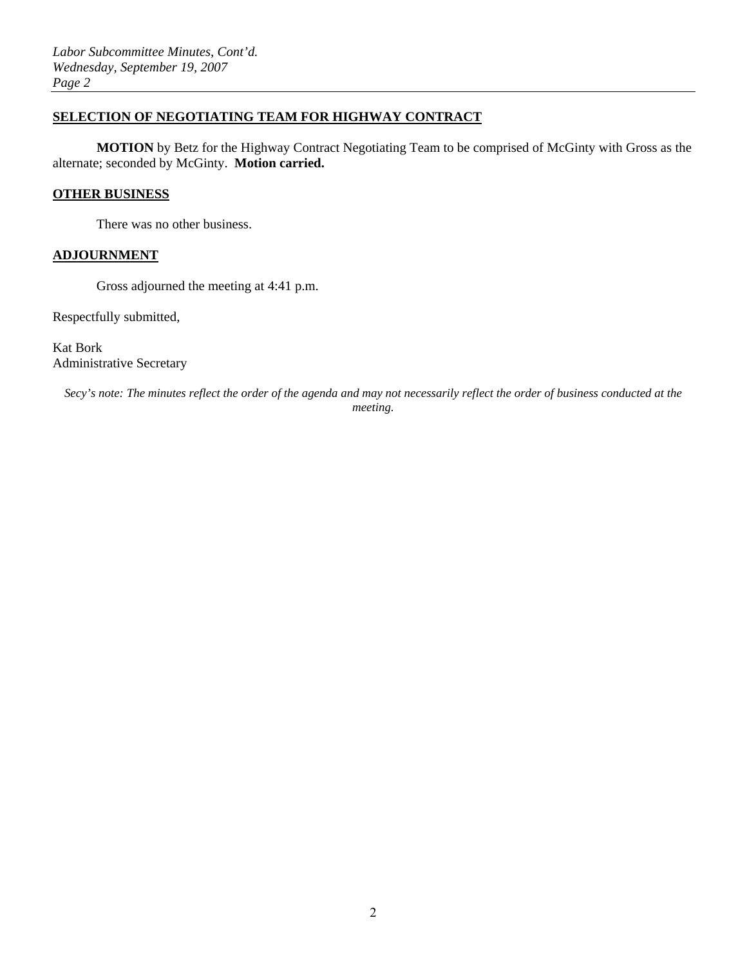## **SELECTION OF NEGOTIATING TEAM FOR HIGHWAY CONTRACT**

**MOTION** by Betz for the Highway Contract Negotiating Team to be comprised of McGinty with Gross as the alternate; seconded by McGinty. **Motion carried.**

#### **OTHER BUSINESS**

There was no other business.

### **ADJOURNMENT**

Gross adjourned the meeting at 4:41 p.m.

Respectfully submitted,

Kat Bork Administrative Secretary

*Secy's note: The minutes reflect the order of the agenda and may not necessarily reflect the order of business conducted at the meeting.*